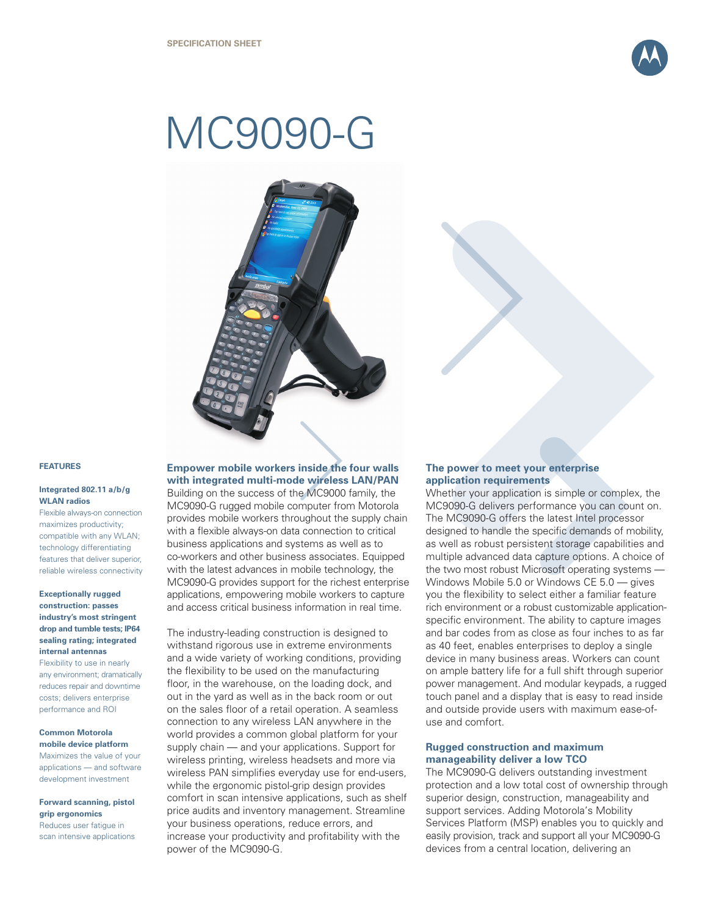

# MC9090-G



#### **FEATURES**

#### **Integrated 802.11 a/b/g WLAN radios**

Flexible always-on connection maximizes productivity; compatible with any WLAN; technology differentiating features that deliver superior, reliable wireless connectivity

### **Exceptionally rugged construction: passes industry's most stringent drop and tumble tests; IP64 sealing rating; integrated internal antennas**

Flexibility to use in nearly any environment; dramatically reduces repair and downtime costs; delivers enterprise performance and ROI

# **Common Motorola mobile device platform**

Maximizes the value of your applications — and software development investment

#### **Forward scanning, pistol grip ergonomics**

Reduces user fatigue in scan intensive applications

# **Empower mobile workers inside the four walls with integrated multi-mode wireless LAN/PAN**

Building on the success of the MC9000 family, the MC9090-G rugged mobile computer from Motorola provides mobile workers throughout the supply chain with a flexible always-on data connection to critical business applications and systems as well as to co-workers and other business associates. Equipped with the latest advances in mobile technology, the MC9090-G provides support for the richest enterprise applications, empowering mobile workers to capture and access critical business information in real time.

The industry-leading construction is designed to withstand rigorous use in extreme environments and a wide variety of working conditions, providing the flexibility to be used on the manufacturing floor, in the warehouse, on the loading dock, and out in the yard as well as in the back room or out on the sales floor of a retail operation. A seamless connection to any wireless LAN anywhere in the world provides a common global platform for your supply chain — and your applications. Support for wireless printing, wireless headsets and more via wireless PAN simplifies everyday use for end-users, while the ergonomic pistol-grip design provides comfort in scan intensive applications, such as shelf price audits and inventory management. Streamline your business operations, reduce errors, and increase your productivity and profitability with the power of the MC9090-G.

# **The power to meet your enterprise application requirements**

Whether your application is simple or complex, the MC9090-G delivers performance you can count on. The MC9090-G offers the latest Intel processor designed to handle the specific demands of mobility, as well as robust persistent storage capabilities and multiple advanced data capture options. A choice of the two most robust Microsoft operating systems — Windows Mobile 5.0 or Windows CE 5.0 — gives you the flexibility to select either a familiar feature rich environment or a robust customizable applicationspecific environment. The ability to capture images and bar codes from as close as four inches to as far as 40 feet, enables enterprises to deploy a single device in many business areas. Workers can count on ample battery life for a full shift through superior power management. And modular keypads, a rugged touch panel and a display that is easy to read inside and outside provide users with maximum ease-ofuse and comfort.

# **Rugged construction and maximum manageability deliver a low TCO**

The MC9090-G delivers outstanding investment protection and a low total cost of ownership through superior design, construction, manageability and support services. Adding Motorola's Mobility Services Platform (MSP) enables you to quickly and easily provision, track and support all your MC9090-G devices from a central location, delivering an